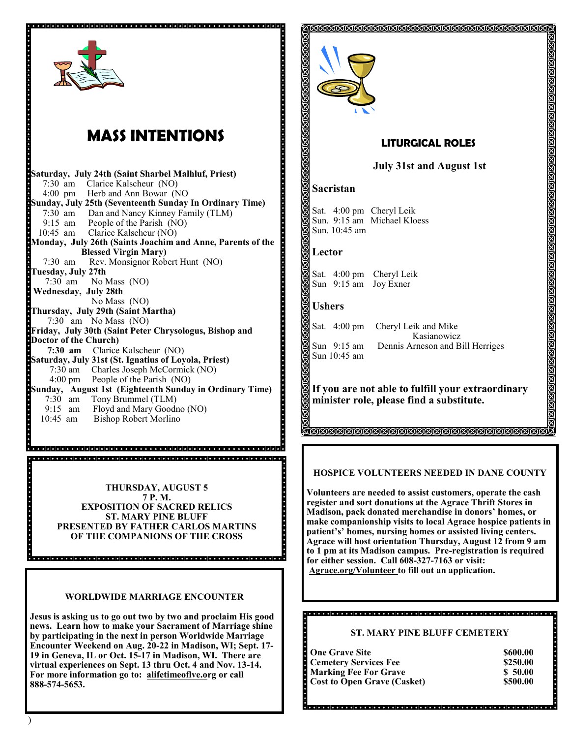

 $\overline{a}$ 

# **MASS INTENTIONS**

**Saturday, July 24th (Saint Sharbel Malhluf, Priest)**  7:30 am Clarice Kalscheur (NO) 4:00 pm Herb and Ann Bowar (NO **Sunday, July 25th (Seventeenth Sunday In Ordinary Time)** 7:30 am Dan and Nancy Kinney Family (TLM) 9:15 am People of the Parish (NO) 10:45 am Clarice Kalscheur (NO) **Monday, July 26th (Saints Joachim and Anne, Parents of the Blessed Virgin Mary)**  7:30 am Rev. Monsignor Robert Hunt (NO) **Tuesday, July 27th** 7:30 am No Mass (NO) **Wednesday, July 28th**  No Mass (NO) **Thursday, July 29th (Saint Martha)** 7:30 am No Mass (NO) **Friday, July 30th (Saint Peter Chrysologus, Bishop and Doctor of the Church) 7:30 am** Clarice Kalscheur (NO) **Saturday, July 31st (St. Ignatius of Loyola, Priest)** 7:30 am Charles Joseph McCormick (NO) People of the Parish (NO) **Sunday, August 1st (Eighteenth Sunday in Ordinary Time)** 7:30 am Tony Brummel (TLM)<br>9:15 am Floyd and Mary Goodi Floyd and Mary Goodno (NO) 10:45 am Bishop Robert Morlino

> **THURSDAY, AUGUST 5 7 P. M. EXPOSITION OF SACRED RELICS ST. MARY PINE BLUFF PRESENTED BY FATHER CARLOS MARTINS OF THE COMPANIONS OF THE CROSS**

## **WORLDWIDE MARRIAGE ENCOUNTER**

**Jesus is asking us to go out two by two and proclaim His good news. Learn how to make your Sacrament of Marriage shine by participating in the next in person Worldwide Marriage Encounter Weekend on Aug. 20-22 in Madison, WI; Sept. 17- 19 in Geneva, IL or Oct. 15-17 in Madison, WI. There are virtual experiences on Sept. 13 thru Oct. 4 and Nov. 13-14. For more information go to: alifetimeoflve.org or call 888-574-5653.**



## **LITURGICAL ROLES**

**ANANANANANANANANANANANANANAN** 

## **July 31st and August 1st**

## **Sacristan**

Sat. 4:00 pm Cheryl Leik Sun. 9:15 am Michael Kloess Sun. 10:45 am

### **Lector**

Sat. 4:00 pm Cheryl Leik Sun 9:15 am Joy Exner

#### **Ushers**

Sun 10:45 am

Sat. 4:00 pm Cheryl Leik and Mike Kasianowicz Sun 9:15 am Dennis Arneson and Bill Herriges

## **If you are not able to fulfill your extraordinary minister role, please find a substitute.**

**TEKKEKKEKKEKKEKKEKKEKKEKKEKKEKKEK** 

## **HOSPICE VOLUNTEERS NEEDED IN DANE COUNTY**

**Volunteers are needed to assist customers, operate the cash register and sort donations at the Agrace Thrift Stores in Madison, pack donated merchandise in donors' homes, or make companionship visits to local Agrace hospice patients in patient's' homes, nursing homes or assisted living centers. Agrace will host orientation Thursday, August 12 from 9 am to 1 pm at its Madison campus. Pre-registration is required for either session. Call 608-327-7163 or visit: Agrace.org/Volunteer to fill out an application.**

## **ST. MARY PINE BLUFF CEMETERY**

| <b>One Grave Site</b>              | \$600.00 |
|------------------------------------|----------|
| <b>Cemetery Services Fee</b>       | \$250.00 |
| <b>Marking Fee For Grave</b>       | \$50.00  |
| <b>Cost to Open Grave (Casket)</b> | \$500.00 |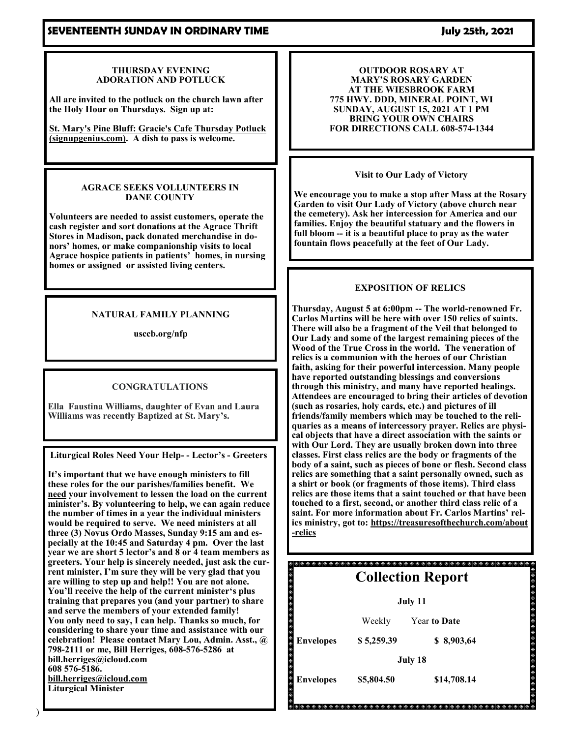## **SEVENTEENTH SUNDAY IN ORDINARY TIME SEVENTEENTH SUNDAY IN ORDINARY TIME**

#### **THURSDAY EVENING ADORATION AND POTLUCK**

**All are invited to the potluck on the church lawn after the Holy Hour on Thursdays. Sign up at:**

**[St. Mary's Pine Bluff: Gracie's Cafe Thursday Potluck](https://www.signupgenius.com/go/4090f45afaa2ea5fc1-grace)  [\(signupgenius.com\).](https://www.signupgenius.com/go/4090f45afaa2ea5fc1-grace) A dish to pass is welcome.**

#### **AGRACE SEEKS VOLLUNTEERS IN DANE COUNTY**

**Volunteers are needed to assist customers, operate the cash register and sort donations at the Agrace Thrift Stores in Madison, pack donated merchandise in donors' homes, or make companionship visits to local Agrace hospice patients in patients' homes, in nursing homes or assigned or assisted living centers.** 

## **NATURAL FAMILY PLANNING**

**usccb.org/nfp**

## **CONGRATULATIONS**

**Ella Faustina Williams, daughter of Evan and Laura Williams was recently Baptized at St. Mary's.**

**Liturgical Roles Need Your Help- - Lector's - Greeters** 

**It's important that we have enough ministers to fill these roles for the our parishes/families benefit. We need your involvement to lessen the load on the current minister's. By volunteering to help, we can again reduce the number of times in a year the individual ministers would be required to serve. We need ministers at all three (3) Novus Ordo Masses, Sunday 9:15 am and especially at the 10:45 and Saturday 4 pm. Over the last year we are short 5 lector's and 8 or 4 team members as greeters. Your help is sincerely needed, just ask the current minister, I'm sure they will be very glad that you are willing to step up and help!! You are not alone. You'll receive the help of the current minister's plus training that prepares you (and your partner) to share and serve the members of your extended family! You only need to say, I can help. Thanks so much, for considering to share your time and assistance with our celebration! Please contact Mary Lou, Admin. Asst., @ 798-2111 or me, Bill Herriges, 608-576-5286 at bill.herriges@icloud.com 608 576-5186. [bill.herriges@icloud.com](mailto:bill.herriges@icloud.com) Liturgical Minister**

**OUTDOOR ROSARY AT MARY'S ROSARY GARDEN AT THE WIESBROOK FARM 775 HWY. DDD, MINERAL POINT, WI SUNDAY, AUGUST 15, 2021 AT 1 PM BRING YOUR OWN CHAIRS FOR DIRECTIONS CALL 608-574-1344**

**Visit to Our Lady of Victory** 

**We encourage you to make a stop after Mass at the Rosary Garden to visit Our Lady of Victory (above church near the cemetery). Ask her intercession for America and our families. Enjoy the beautiful statuary and the flowers in full bloom -- it is a beautiful place to pray as the water fountain flows peacefully at the feet of Our Lady.** 

## **EXPOSITION OF RELICS**

**Thursday, August 5 at 6:00pm -- The world-renowned Fr. Carlos Martins will be here with over 150 relics of saints. There will also be a fragment of the Veil that belonged to Our Lady and some of the largest remaining pieces of the Wood of the True Cross in the world. The veneration of relics is a communion with the heroes of our Christian faith, asking for their powerful intercession. Many people have reported outstanding blessings and conversions through this ministry, and many have reported healings. Attendees are encouraged to bring their articles of devotion (such as rosaries, holy cards, etc.) and pictures of ill friends/family members which may be touched to the reliquaries as a means of intercessory prayer. Relics are physical objects that have a direct association with the saints or with Our Lord. They are usually broken down into three classes. First class relics are the body or fragments of the body of a saint, such as pieces of bone or flesh. Second class relics are something that a saint personally owned, such as a shirt or book (or fragments of those items). Third class relics are those items that a saint touched or that have been touched to a first, second, or another third class relic of a saint. For more information about Fr. Carlos Martins' relics ministry, got to: [https://treasuresofthechurch.com/about](https://treasuresofthechurch.com/about-relics) -[relics](https://treasuresofthechurch.com/about-relics)**

|                  |            | <b>Collection Report</b> |  |
|------------------|------------|--------------------------|--|
|                  |            | July 11                  |  |
|                  | Weekly     | <b>Year to Date</b>      |  |
| <b>Envelopes</b> | \$5,259.39 | \$8,903,64               |  |
|                  |            | July 18                  |  |
| <b>Envelopes</b> | \$5,804.50 | \$14,708.14              |  |